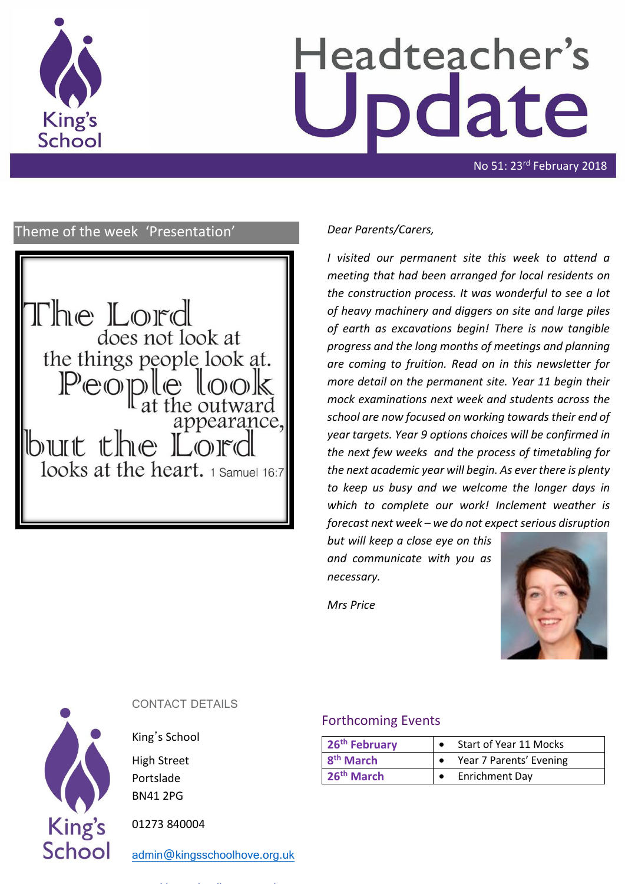

# Headteacher's date

No 51: 23rd February 2018

#### Theme of the week 'Presentation' *Dear Parents/Carers,*



*I visited our permanent site this week to attend a meeting that had been arranged for local residents on the construction process. It was wonderful to see a lot of heavy machinery and diggers on site and large piles of earth as excavations begin! There is now tangible progress and the long months of meetings and planning are coming to fruition. Read on in this newsletter for more detail on the permanent site. Year 11 begin their mock examinations next week and students across the school are now focused on working towards their end of year targets. Year 9 options choices will be confirmed in the next few weeks and the process of timetabling for the next academic year will begin. As ever there is plenty to keep us busy and we welcome the longer days in which to complete our work! Inclement weather is forecast next week – we do not expect serious disruption* 

*but will keep a close eye on this and communicate with you as necessary.*

*Mrs Price*





#### CONTACT DETAILS

King's School

High Street Portslade BN41 2PG

01273 840004

[admin@kingsschoolhove.org.uk](mailto:admin@kingsschoolhove.org.uk)

#### Forthcoming Events

| 26 <sup>th</sup> February | Start of Year 11 Mocks  |
|---------------------------|-------------------------|
| $8th$ March               | Year 7 Parents' Evening |
| $\frac{1}{26}$ th March   | <b>Enrichment Day</b>   |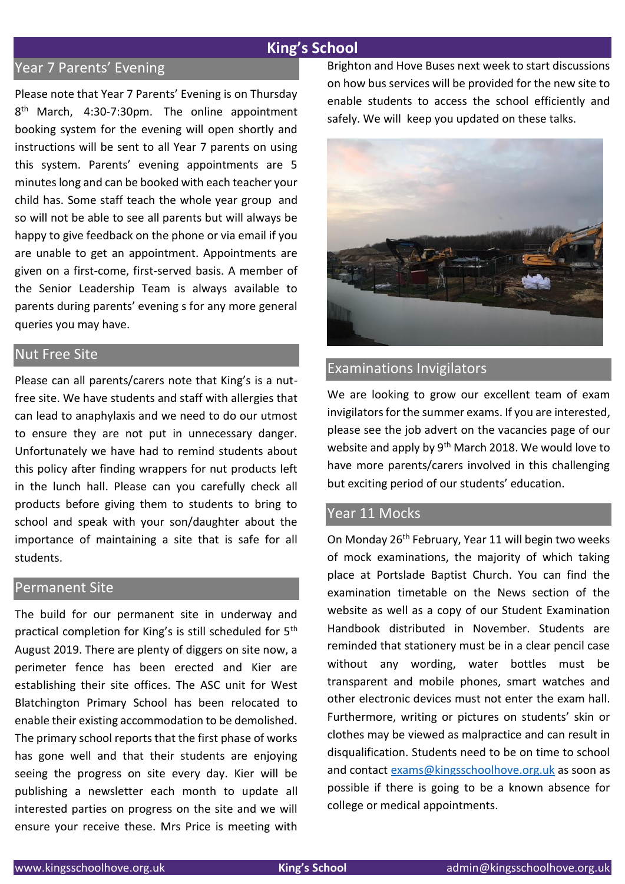#### **King's School**

#### Year 7 Parents' Evening

Please note that Year 7 Parents' Evening is on Thursday 8<sup>th</sup> March, 4:30-7:30pm. The online appointment booking system for the evening will open shortly and instructions will be sent to all Year 7 parents on using this system. Parents' evening appointments are 5 minutes long and can be booked with each teacher your child has. Some staff teach the whole year group and so will not be able to see all parents but will always be happy to give feedback on the phone or via email if you are unable to get an appointment. Appointments are given on a first-come, first-served basis. A member of the Senior Leadership Team is always available to parents during parents' evening s for any more general queries you may have.

#### Nut Free Site

Please can all parents/carers note that King's is a nutfree site. We have students and staff with allergies that can lead to anaphylaxis and we need to do our utmost to ensure they are not put in unnecessary danger. Unfortunately we have had to remind students about this policy after finding wrappers for nut products left in the lunch hall. Please can you carefully check all products before giving them to students to bring to school and speak with your son/daughter about the importance of maintaining a site that is safe for all students.

#### Permanent Site

The build for our permanent site in underway and practical completion for King's is still scheduled for 5th August 2019. There are plenty of diggers on site now, a perimeter fence has been erected and Kier are establishing their site offices. The ASC unit for West Blatchington Primary School has been relocated to enable their existing accommodation to be demolished. The primary school reports that the first phase of works has gone well and that their students are enjoying seeing the progress on site every day. Kier will be publishing a newsletter each month to update all interested parties on progress on the site and we will ensure your receive these. Mrs Price is meeting with Brighton and Hove Buses next week to start discussions on how bus services will be provided for the new site to enable students to access the school efficiently and safely. We will keep you updated on these talks.



#### Examinations Invigilators

We are looking to grow our excellent team of exam invigilators for the summer exams. If you are interested, please see the job advert on the vacancies page of our website and apply by 9<sup>th</sup> March 2018. We would love to have more parents/carers involved in this challenging but exciting period of our students' education.

#### Year 11 Mocks

On Monday 26<sup>th</sup> February, Year 11 will begin two weeks of mock examinations, the majority of which taking place at Portslade Baptist Church. You can find the examination timetable on the News section of the website as well as a copy of our Student Examination Handbook distributed in November. Students are reminded that stationery must be in a clear pencil case without any wording, water bottles must be transparent and mobile phones, smart watches and other electronic devices must not enter the exam hall. Furthermore, writing or pictures on students' skin or clothes may be viewed as malpractice and can result in disqualification. Students need to be on time to school and contact [exams@kingsschoolhove.org.uk](mailto:exams@kingsschoolhove.org.uk) as soon as possible if there is going to be a known absence for college or medical appointments.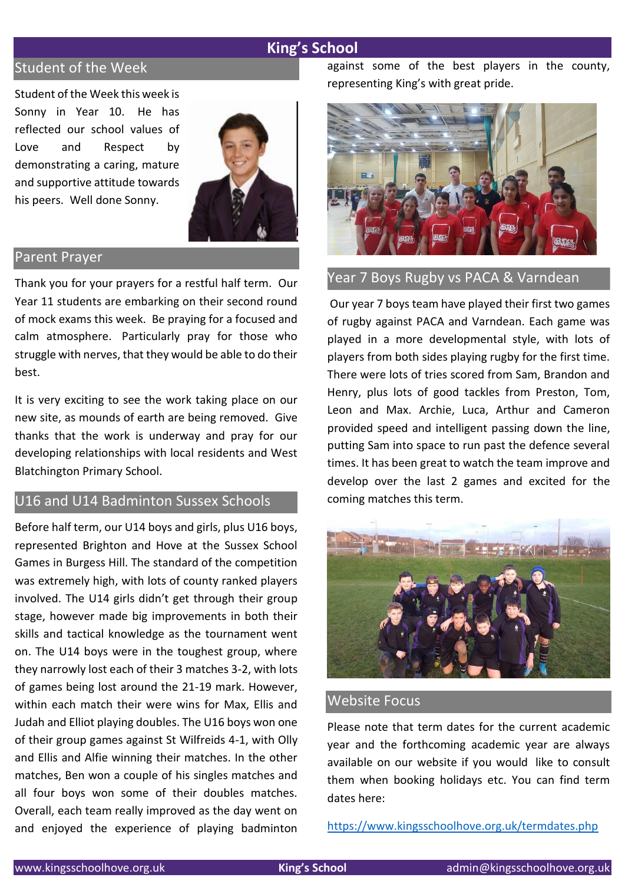#### **King's School**

### Student of the Week

Student of the Week this week is Sonny in Year 10. He has reflected our school values of Love and Respect by demonstrating a caring, mature and supportive attitude towards his peers. Well done Sonny.



#### Parent Prayer

Thank you for your prayers for a restful half term. Our Year 11 students are embarking on their second round of mock exams this week. Be praying for a focused and calm atmosphere. Particularly pray for those who struggle with nerves, that they would be able to do their best.

It is very exciting to see the work taking place on our new site, as mounds of earth are being removed. Give thanks that the work is underway and pray for our developing relationships with local residents and West Blatchington Primary School.

#### U16 and U14 Badminton Sussex Schools

Before half term, our U14 boys and girls, plus U16 boys, represented Brighton and Hove at the Sussex School Games in Burgess Hill. The standard of the competition was extremely high, with lots of county ranked players involved. The U14 girls didn't get through their group stage, however made big improvements in both their skills and tactical knowledge as the tournament went on. The U14 boys were in the toughest group, where they narrowly lost each of their 3 matches 3-2, with lots of games being lost around the 21-19 mark. However, within each match their were wins for Max, Ellis and Judah and Elliot playing doubles. The U16 boys won one of their group games against St Wilfreids 4-1, with Olly and Ellis and Alfie winning their matches. In the other matches, Ben won a couple of his singles matches and all four boys won some of their doubles matches. Overall, each team really improved as the day went on and enjoyed the experience of playing badminton against some of the best players in the county, representing King's with great pride.



#### Year 7 Boys Rugby vs PACA & Varndean

Our year 7 boys team have played their first two games of rugby against PACA and Varndean. Each game was played in a more developmental style, with lots of players from both sides playing rugby for the first time. There were lots of tries scored from Sam, Brandon and Henry, plus lots of good tackles from Preston, Tom, Leon and Max. Archie, Luca, Arthur and Cameron provided speed and intelligent passing down the line, putting Sam into space to run past the defence several times. It has been great to watch the team improve and develop over the last 2 games and excited for the coming matches this term.



#### Website Focus

Please note that term dates for the current academic year and the forthcoming academic year are always available on our website if you would like to consult them when booking holidays etc. You can find term dates here:

<https://www.kingsschoolhove.org.uk/termdates.php>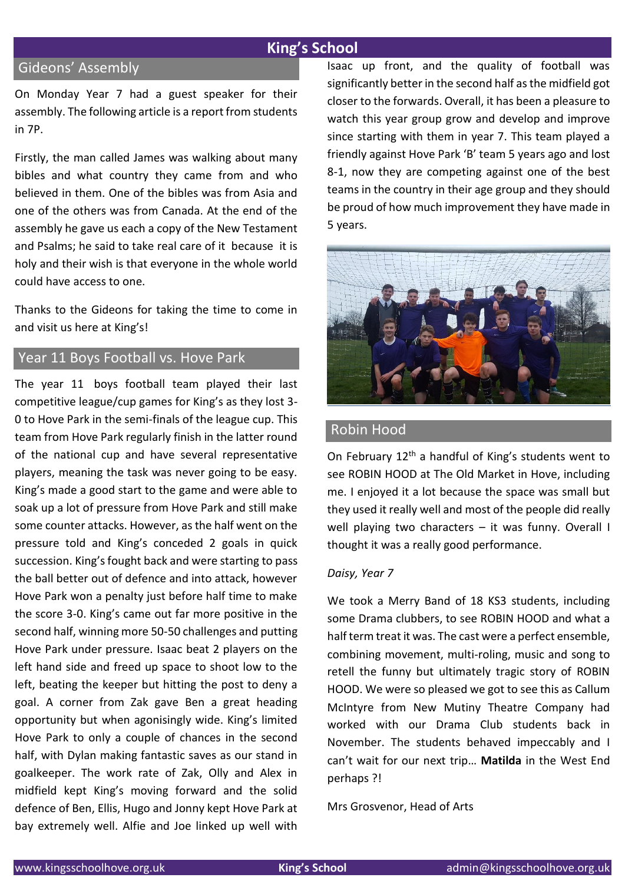#### **King's School**

#### Gideons' Assembly

On Monday Year 7 had a guest speaker for their assembly. The following article is a report from students in 7P.

Firstly, the man called James was walking about many bibles and what country they came from and who believed in them. One of the bibles was from Asia and one of the others was from Canada. At the end of the assembly he gave us each a copy of the New Testament and Psalms; he said to take real care of it because it is holy and their wish is that everyone in the whole world could have access to one.

Thanks to the Gideons for taking the time to come in and visit us here at King's!

#### Year 11 Boys Football vs. Hove Park

The year 11 boys football team played their last competitive league/cup games for King's as they lost 3- 0 to Hove Park in the semi-finals of the league cup. This team from Hove Park regularly finish in the latter round of the national cup and have several representative players, meaning the task was never going to be easy. King's made a good start to the game and were able to soak up a lot of pressure from Hove Park and still make some counter attacks. However, as the half went on the pressure told and King's conceded 2 goals in quick succession. King's fought back and were starting to pass the ball better out of defence and into attack, however Hove Park won a penalty just before half time to make the score 3-0. King's came out far more positive in the second half, winning more 50-50 challenges and putting Hove Park under pressure. Isaac beat 2 players on the left hand side and freed up space to shoot low to the left, beating the keeper but hitting the post to deny a goal. A corner from Zak gave Ben a great heading opportunity but when agonisingly wide. King's limited Hove Park to only a couple of chances in the second half, with Dylan making fantastic saves as our stand in goalkeeper. The work rate of Zak, Olly and Alex in midfield kept King's moving forward and the solid defence of Ben, Ellis, Hugo and Jonny kept Hove Park at bay extremely well. Alfie and Joe linked up well with Isaac up front, and the quality of football was significantly better in the second half as the midfield got closer to the forwards. Overall, it has been a pleasure to watch this year group grow and develop and improve since starting with them in year 7. This team played a friendly against Hove Park 'B' team 5 years ago and lost 8-1, now they are competing against one of the best teams in the country in their age group and they should be proud of how much improvement they have made in 5 years.



#### Robin Hood

On February  $12<sup>th</sup>$  a handful of King's students went to see ROBIN HOOD at The Old Market in Hove, including me. I enjoyed it a lot because the space was small but they used it really well and most of the people did really well playing two characters – it was funny. Overall I thought it was a really good performance.

#### *Daisy, Year 7*

We took a Merry Band of 18 KS3 students, including some Drama clubbers, to see ROBIN HOOD and what a half term treat it was. The cast were a perfect ensemble, combining movement, multi-roling, music and song to retell the funny but ultimately tragic story of ROBIN HOOD. We were so pleased we got to see this as Callum McIntyre from New Mutiny Theatre Company had worked with our Drama Club students back in November. The students behaved impeccably and I can't wait for our next trip… **Matilda** in the West End perhaps ?!

Mrs Grosvenor, Head of Arts